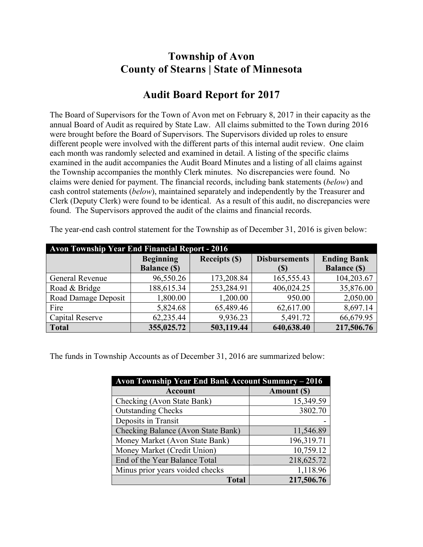## **Township of Avon County of Stearns | State of Minnesota**

## **Audit Board Report for 2017**

The Board of Supervisors for the Town of Avon met on February 8, 2017 in their capacity as the annual Board of Audit as required by State Law. All claims submitted to the Town during 2016 were brought before the Board of Supervisors. The Supervisors divided up roles to ensure different people were involved with the different parts of this internal audit review. One claim each month was randomly selected and examined in detail. A listing of the specific claims examined in the audit accompanies the Audit Board Minutes and a listing of all claims against the Township accompanies the monthly Clerk minutes. No discrepancies were found. No claims were denied for payment. The financial records, including bank statements (*below*) and cash control statements (*below*), maintained separately and independently by the Treasurer and Clerk (Deputy Clerk) were found to be identical. As a result of this audit, no discrepancies were found. The Supervisors approved the audit of the claims and financial records.

| <b>Avon Township Year End Financial Report - 2016</b> |                     |                      |                      |                     |  |
|-------------------------------------------------------|---------------------|----------------------|----------------------|---------------------|--|
|                                                       | <b>Beginning</b>    | <b>Receipts (\$)</b> | <b>Disbursements</b> | <b>Ending Bank</b>  |  |
|                                                       | <b>Balance (\$)</b> |                      | (S)                  | <b>Balance (\$)</b> |  |
| General Revenue                                       | 96,550.26           | 173,208.84           | 165,555.43           | 104,203.67          |  |
| Road & Bridge                                         | 188,615.34          | 253,284.91           | 406,024.25           | 35,876.00           |  |
| Road Damage Deposit                                   | 1,800.00            | 1,200.00             | 950.00               | 2,050.00            |  |
| Fire                                                  | 5,824.68            | 65,489.46            | 62,617.00            | 8,697.14            |  |
| Capital Reserve                                       | 62,235.44           | 9,936.23             | 5,491.72             | 66,679.95           |  |
| Total                                                 | 355,025.72          | 503,119.44           | 640,638.40           | 217,506.76          |  |

The year-end cash control statement for the Township as of December 31, 2016 is given below:

The funds in Township Accounts as of December 31, 2016 are summarized below:

| Avon Township Year End Bank Account Summary - 2016 |             |  |  |  |
|----------------------------------------------------|-------------|--|--|--|
| <b>Account</b>                                     | Amount (\$) |  |  |  |
| Checking (Avon State Bank)                         | 15,349.59   |  |  |  |
| <b>Outstanding Checks</b>                          | 3802.70     |  |  |  |
| Deposits in Transit                                |             |  |  |  |
| Checking Balance (Avon State Bank)                 | 11,546.89   |  |  |  |
| Money Market (Avon State Bank)                     | 196,319.71  |  |  |  |
| Money Market (Credit Union)                        | 10,759.12   |  |  |  |
| End of the Year Balance Total                      | 218,625.72  |  |  |  |
| Minus prior years voided checks                    | 1,118.96    |  |  |  |
| <b>Total</b>                                       | 217,506.76  |  |  |  |